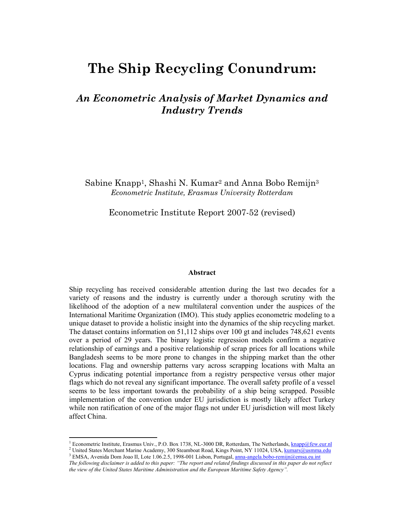# **The Ship Recycling Conundrum:**

# *An Econometric Analysis of Market Dynamics and Industry Trends*

Sabine Knapp1, Shashi N. Kumar2 and Anna Bobo Remijn3 *Econometric Institute, Erasmus University Rotterdam* 

Econometric Institute Report 2007-52 (revised)

#### **Abstract**

Ship recycling has received considerable attention during the last two decades for a variety of reasons and the industry is currently under a thorough scrutiny with the likelihood of the adoption of a new multilateral convention under the auspices of the International Maritime Organization (IMO). This study applies econometric modeling to a unique dataset to provide a holistic insight into the dynamics of the ship recycling market. The dataset contains information on 51,112 ships over 100 gt and includes 748,621 events over a period of 29 years. The binary logistic regression models confirm a negative relationship of earnings and a positive relationship of scrap prices for all locations while Bangladesh seems to be more prone to changes in the shipping market than the other locations. Flag and ownership patterns vary across scrapping locations with Malta an Cyprus indicating potential importance from a registry perspective versus other major flags which do not reveal any significant importance. The overall safety profile of a vessel seems to be less important towards the probability of a ship being scrapped. Possible implementation of the convention under EU jurisdiction is mostly likely affect Turkey while non ratification of one of the major flags not under EU jurisdiction will most likely affect China.

 $\overline{a}$ 

<sup>&</sup>lt;sup>1</sup> Econometric Institute, Erasmus Univ., P.O. Box 1738, NL-3000 DR, Rotterdam, The Netherlands,  $\frac{\text{knapp@few\_eur} \cdot \text{R}}{\text{Number of the } N}$ <sup>2</sup> United States Merchant Marine Academy, 300 Steamboat Road, Kings Point, NY 11024, USA, kumars@usmma.edu

<sup>&</sup>lt;sup>3</sup> EMSA, Avenida Dom Joao II, Lote 1.06.2.5, 1998-001 Lisbon, Portugal, anna-angela.bobo-remijn@emsa.eu.int *The following disclaimer is added to this paper: "The report and related findings discussed in this paper do not reflect the view of the United States Maritime Administration and the European Maritime Safety Agency".*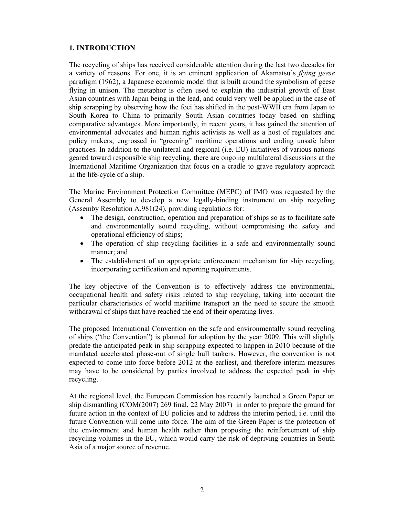# **1. INTRODUCTION**

The recycling of ships has received considerable attention during the last two decades for a variety of reasons. For one, it is an eminent application of Akamatsu's *flying geese* paradigm (1962), a Japanese economic model that is built around the symbolism of geese flying in unison. The metaphor is often used to explain the industrial growth of East Asian countries with Japan being in the lead, and could very well be applied in the case of ship scrapping by observing how the foci has shifted in the post-WWII era from Japan to South Korea to China to primarily South Asian countries today based on shifting comparative advantages. More importantly, in recent years, it has gained the attention of environmental advocates and human rights activists as well as a host of regulators and policy makers, engrossed in "greening" maritime operations and ending unsafe labor practices. In addition to the unilateral and regional (i.e. EU) initiatives of various nations geared toward responsible ship recycling, there are ongoing multilateral discussions at the International Maritime Organization that focus on a cradle to grave regulatory approach in the life-cycle of a ship.

The Marine Environment Protection Committee (MEPC) of IMO was requested by the General Assembly to develop a new legally-binding instrument on ship recycling (Assemby Resolution A.981(24), providing regulations for:

- The design, construction, operation and preparation of ships so as to facilitate safe and environmentally sound recycling, without compromising the safety and operational efficiency of ships;
- The operation of ship recycling facilities in a safe and environmentally sound manner; and
- The establishment of an appropriate enforcement mechanism for ship recycling, incorporating certification and reporting requirements.

The key objective of the Convention is to effectively address the environmental, occupational health and safety risks related to ship recycling, taking into account the particular characteristics of world maritime transport an the need to secure the smooth withdrawal of ships that have reached the end of their operating lives.

The proposed International Convention on the safe and environmentally sound recycling of ships ("the Convention") is planned for adoption by the year 2009. This will slightly predate the anticipated peak in ship scrapping expected to happen in 2010 because of the mandated accelerated phase-out of single hull tankers. However, the convention is not expected to come into force before 2012 at the earliest, and therefore interim measures may have to be considered by parties involved to address the expected peak in ship recycling.

At the regional level, the European Commission has recently launched a Green Paper on ship dismantling (COM(2007) 269 final, 22 May 2007) in order to prepare the ground for future action in the context of EU policies and to address the interim period, i.e. until the future Convention will come into force. The aim of the Green Paper is the protection of the environment and human health rather than proposing the reinforcement of ship recycling volumes in the EU, which would carry the risk of depriving countries in South Asia of a major source of revenue.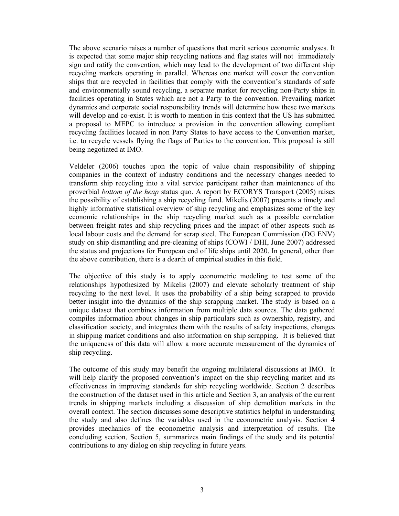The above scenario raises a number of questions that merit serious economic analyses. It is expected that some major ship recycling nations and flag states will not immediately sign and ratify the convention, which may lead to the development of two different ship recycling markets operating in parallel. Whereas one market will cover the convention ships that are recycled in facilities that comply with the convention's standards of safe and environmentally sound recycling, a separate market for recycling non-Party ships in facilities operating in States which are not a Party to the convention. Prevailing market dynamics and corporate social responsibility trends will determine how these two markets will develop and co-exist. It is worth to mention in this context that the US has submitted a proposal to MEPC to introduce a provision in the convention allowing compliant recycling facilities located in non Party States to have access to the Convention market, i.e. to recycle vessels flying the flags of Parties to the convention. This proposal is still being negotiated at IMO.

Veldeler (2006) touches upon the topic of value chain responsibility of shipping companies in the context of industry conditions and the necessary changes needed to transform ship recycling into a vital service participant rather than maintenance of the proverbial *bottom of the heap* status quo. A report by ECORYS Transport (2005) raises the possibility of establishing a ship recycling fund. Mikelis (2007) presents a timely and highly informative statistical overview of ship recycling and emphasizes some of the key economic relationships in the ship recycling market such as a possible correlation between freight rates and ship recycling prices and the impact of other aspects such as local labour costs and the demand for scrap steel. The European Commission (DG ENV) study on ship dismantling and pre-cleaning of ships (COWI / DHI, June 2007) addressed the status and projections for European end of life ships until 2020. In general, other than the above contribution, there is a dearth of empirical studies in this field.

The objective of this study is to apply econometric modeling to test some of the relationships hypothesized by Mikelis (2007) and elevate scholarly treatment of ship recycling to the next level. It uses the probability of a ship being scrapped to provide better insight into the dynamics of the ship scrapping market. The study is based on a unique dataset that combines information from multiple data sources. The data gathered compiles information about changes in ship particulars such as ownership, registry, and classification society, and integrates them with the results of safety inspections, changes in shipping market conditions and also information on ship scrapping. It is believed that the uniqueness of this data will allow a more accurate measurement of the dynamics of ship recycling.

The outcome of this study may benefit the ongoing multilateral discussions at IMO. It will help clarify the proposed convention's impact on the ship recycling market and its effectiveness in improving standards for ship recycling worldwide. Section 2 describes the construction of the dataset used in this article and Section 3, an analysis of the current trends in shipping markets including a discussion of ship demolition markets in the overall context. The section discusses some descriptive statistics helpful in understanding the study and also defines the variables used in the econometric analysis. Section 4 provides mechanics of the econometric analysis and interpretation of results. The concluding section, Section 5, summarizes main findings of the study and its potential contributions to any dialog on ship recycling in future years.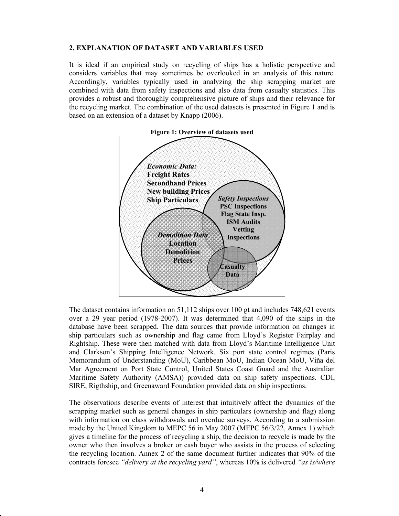## **2. EXPLANATION OF DATASET AND VARIABLES USED**

It is ideal if an empirical study on recycling of ships has a holistic perspective and considers variables that may sometimes be overlooked in an analysis of this nature. Accordingly, variables typically used in analyzing the ship scrapping market are combined with data from safety inspections and also data from casualty statistics. This provides a robust and thoroughly comprehensive picture of ships and their relevance for the recycling market. The combination of the used datasets is presented in Figure 1 and is based on an extension of a dataset by Knapp (2006).



The dataset contains information on 51,112 ships over 100 gt and includes 748,621 events over a 29 year period (1978-2007). It was determined that 4,090 of the ships in the database have been scrapped. The data sources that provide information on changes in ship particulars such as ownership and flag came from Lloyd's Register Fairplay and Rightship. These were then matched with data from Lloyd's Maritime Intelligence Unit and Clarkson's Shipping Intelligence Network. Six port state control regimes (Paris Memorandum of Understanding (MoU), Caribbean MoU, Indian Ocean MoU, Viña del Mar Agreement on Port State Control, United States Coast Guard and the Australian Maritime Safety Authority (AMSA)) provided data on ship safety inspections. CDI, SIRE, Rigthship, and Greenaward Foundation provided data on ship inspections.

The observations describe events of interest that intuitively affect the dynamics of the scrapping market such as general changes in ship particulars (ownership and flag) along with information on class withdrawals and overdue surveys. According to a submission made by the United Kingdom to MEPC 56 in May 2007 (MEPC 56/3/22, Annex 1) which gives a timeline for the process of recycling a ship, the decision to recycle is made by the owner who then involves a broker or cash buyer who assists in the process of selecting the recycling location. Annex 2 of the same document further indicates that 90% of the contracts foresee *"delivery at the recycling yard"*, whereas 10% is delivered *"as is/where*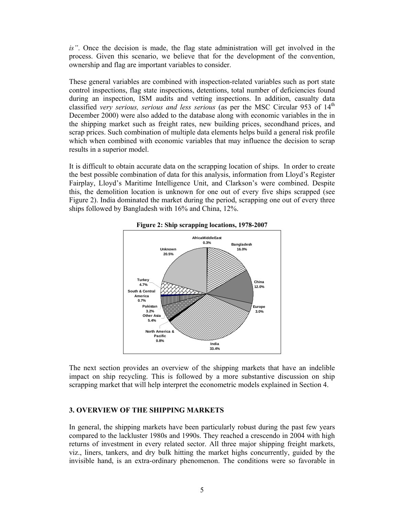*is"*. Once the decision is made, the flag state administration will get involved in the process. Given this scenario, we believe that for the development of the convention, ownership and flag are important variables to consider.

These general variables are combined with inspection-related variables such as port state control inspections, flag state inspections, detentions, total number of deficiencies found during an inspection, ISM audits and vetting inspections. In addition, casualty data classified *very serious, serious and less serious* (as per the MSC Circular 953 of 14<sup>th</sup> December 2000) were also added to the database along with economic variables in the in the shipping market such as freight rates, new building prices, secondhand prices, and scrap prices. Such combination of multiple data elements helps build a general risk profile which when combined with economic variables that may influence the decision to scrap results in a superior model.

It is difficult to obtain accurate data on the scrapping location of ships. In order to create the best possible combination of data for this analysis, information from Lloyd's Register Fairplay, Lloyd's Maritime Intelligence Unit, and Clarkson's were combined. Despite this, the demolition location is unknown for one out of every five ships scrapped (see Figure 2). India dominated the market during the period, scrapping one out of every three ships followed by Bangladesh with 16% and China, 12%.





The next section provides an overview of the shipping markets that have an indelible impact on ship recycling. This is followed by a more substantive discussion on ship scrapping market that will help interpret the econometric models explained in Section 4.

## **3. OVERVIEW OF THE SHIPPING MARKETS**

In general, the shipping markets have been particularly robust during the past few years compared to the lackluster 1980s and 1990s. They reached a crescendo in 2004 with high returns of investment in every related sector. All three major shipping freight markets, viz., liners, tankers, and dry bulk hitting the market highs concurrently, guided by the invisible hand, is an extra-ordinary phenomenon. The conditions were so favorable in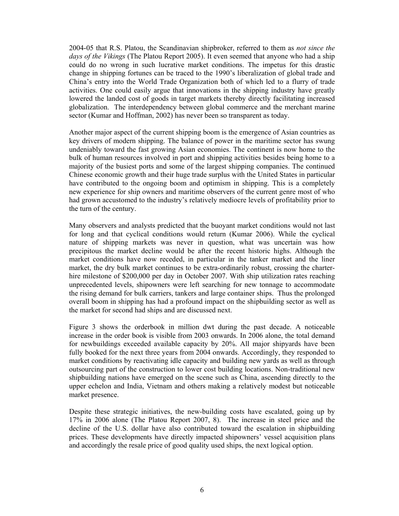2004-05 that R.S. Platou, the Scandinavian shipbroker, referred to them as *not since the days of the Vikings* (The Platou Report 2005). It even seemed that anyone who had a ship could do no wrong in such lucrative market conditions. The impetus for this drastic change in shipping fortunes can be traced to the 1990's liberalization of global trade and China's entry into the World Trade Organization both of which led to a flurry of trade activities. One could easily argue that innovations in the shipping industry have greatly lowered the landed cost of goods in target markets thereby directly facilitating increased globalization. The interdependency between global commerce and the merchant marine sector (Kumar and Hoffman, 2002) has never been so transparent as today.

Another major aspect of the current shipping boom is the emergence of Asian countries as key drivers of modern shipping. The balance of power in the maritime sector has swung undeniably toward the fast growing Asian economies. The continent is now home to the bulk of human resources involved in port and shipping activities besides being home to a majority of the busiest ports and some of the largest shipping companies. The continued Chinese economic growth and their huge trade surplus with the United States in particular have contributed to the ongoing boom and optimism in shipping. This is a completely new experience for ship owners and maritime observers of the current genre most of who had grown accustomed to the industry's relatively mediocre levels of profitability prior to the turn of the century.

Many observers and analysts predicted that the buoyant market conditions would not last for long and that cyclical conditions would return (Kumar 2006). While the cyclical nature of shipping markets was never in question, what was uncertain was how precipitous the market decline would be after the recent historic highs. Although the market conditions have now receded, in particular in the tanker market and the liner market, the dry bulk market continues to be extra-ordinarily robust, crossing the charterhire milestone of \$200,000 per day in October 2007. With ship utilization rates reaching unprecedented levels, shipowners were left searching for new tonnage to accommodate the rising demand for bulk carriers, tankers and large container ships. Thus the prolonged overall boom in shipping has had a profound impact on the shipbuilding sector as well as the market for second had ships and are discussed next.

Figure 3 shows the orderbook in million dwt during the past decade. A noticeable increase in the order book is visible from 2003 onwards. In 2006 alone, the total demand for newbuildings exceeded available capacity by 20%. All major shipyards have been fully booked for the next three years from 2004 onwards. Accordingly, they responded to market conditions by reactivating idle capacity and building new yards as well as through outsourcing part of the construction to lower cost building locations. Non-traditional new shipbuilding nations have emerged on the scene such as China, ascending directly to the upper echelon and India, Vietnam and others making a relatively modest but noticeable market presence.

Despite these strategic initiatives, the new-building costs have escalated, going up by 17% in 2006 alone (The Platou Report 2007, 8). The increase in steel price and the decline of the U.S. dollar have also contributed toward the escalation in shipbuilding prices. These developments have directly impacted shipowners' vessel acquisition plans and accordingly the resale price of good quality used ships, the next logical option.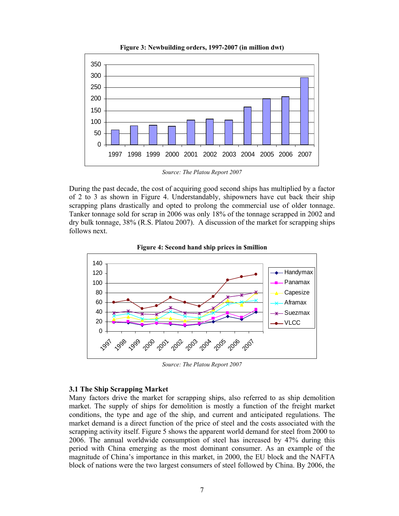

**Figure 3: Newbuilding orders, 1997-2007 (in million dwt)** 

*Source: The Platou Report 2007* 

During the past decade, the cost of acquiring good second ships has multiplied by a factor of 2 to 3 as shown in Figure 4. Understandably, shipowners have cut back their ship scrapping plans drastically and opted to prolong the commercial use of older tonnage. Tanker tonnage sold for scrap in 2006 was only 18% of the tonnage scrapped in 2002 and dry bulk tonnage, 38% (R.S. Platou 2007). A discussion of the market for scrapping ships follows next.





*Source: The Platou Report 2007* 

#### **3.1 The Ship Scrapping Market**

Many factors drive the market for scrapping ships, also referred to as ship demolition market. The supply of ships for demolition is mostly a function of the freight market conditions, the type and age of the ship, and current and anticipated regulations. The market demand is a direct function of the price of steel and the costs associated with the scrapping activity itself. Figure 5 shows the apparent world demand for steel from 2000 to 2006. The annual worldwide consumption of steel has increased by 47% during this period with China emerging as the most dominant consumer. As an example of the magnitude of China's importance in this market, in 2000, the EU block and the NAFTA block of nations were the two largest consumers of steel followed by China. By 2006, the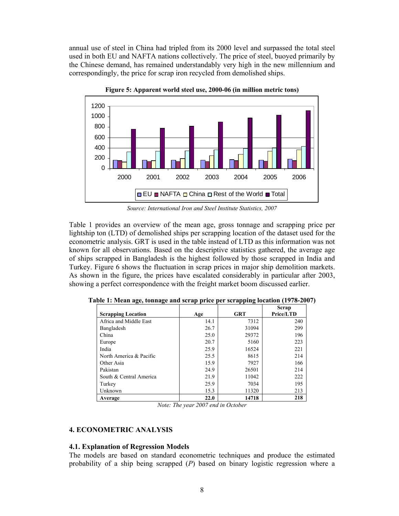annual use of steel in China had tripled from its 2000 level and surpassed the total steel used in both EU and NAFTA nations collectively. The price of steel, buoyed primarily by the Chinese demand, has remained understandably very high in the new millennium and correspondingly, the price for scrap iron recycled from demolished ships.



**Figure 5: Apparent world steel use, 2000-06 (in million metric tons)** 

*Source: International Iron and Steel Institute Statistics, 2007* 

Table 1 provides an overview of the mean age, gross tonnage and scrapping price per lightship ton (LTD) of demolished ships per scrapping location of the dataset used for the econometric analysis. GRT is used in the table instead of LTD as this information was not known for all observations. Based on the descriptive statistics gathered, the average age of ships scrapped in Bangladesh is the highest followed by those scrapped in India and Turkey. Figure 6 shows the fluctuation in scrap prices in major ship demolition markets. As shown in the figure, the prices have escalated considerably in particular after 2003, showing a perfect correspondence with the freight market boom discussed earlier.

|                           |      |            | Scrap     |
|---------------------------|------|------------|-----------|
| <b>Scrapping Location</b> | Age  | <b>GRT</b> | Price/LTD |
| Africa and Middle East    | 14.1 | 7312       | 240       |
| Bangladesh                | 26.7 | 31094      | 299       |
| China                     | 25.0 | 29372      | 196       |
| Europe                    | 20.7 | 5160       | 223       |
| India                     | 25.9 | 16524      | 221       |
| North America & Pacific   | 25.5 | 8615       | 214       |
| Other Asia                | 15.9 | 7927       | 166       |
| Pakistan                  | 24.9 | 26501      | 214       |
| South & Central America   | 21.9 | 11042      | 222       |
| Turkey                    | 25.9 | 7034       | 195       |
| Unknown                   | 15.3 | 11320      | 213       |
| Average                   | 22.0 | 14718      | 218       |

**Table 1: Mean age, tonnage and scrap price per scrapping location (1978-2007)** 

*Note: The year 2007 end in October* 

#### **4. ECONOMETRIC ANALYSIS**

#### **4.1. Explanation of Regression Models**

The models are based on standard econometric techniques and produce the estimated probability of a ship being scrapped (*P*) based on binary logistic regression where a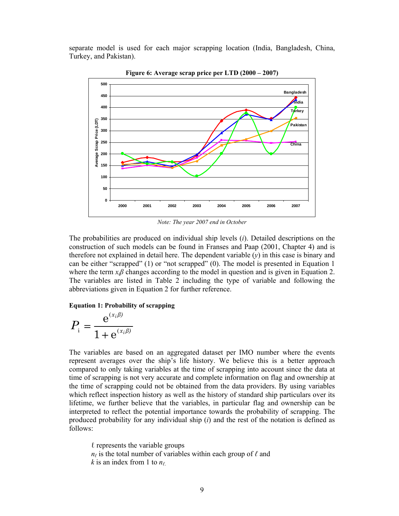separate model is used for each major scrapping location (India, Bangladesh, China, Turkey, and Pakistan).



**Figure 6: Average scrap price per LTD (2000 – 2007)** 

*Note: The year 2007 end in October*

The probabilities are produced on individual ship levels (*i*). Detailed descriptions on the construction of such models can be found in Franses and Paap (2001, Chapter 4) and is therefore not explained in detail here. The dependent variable  $(y)$  in this case is binary and can be either "scrapped" (1) or "not scrapped" (0). The model is presented in Equation 1 where the term  $x_i\beta$  changes according to the model in question and is given in Equation 2. The variables are listed in Table 2 including the type of variable and following the abbreviations given in Equation 2 for further reference.

#### **Equation 1: Probability of scrapping**

$$
P_{i} = \frac{e^{(x_{i}\beta)}}{1 + e^{(x_{i}\beta)}}
$$

The variables are based on an aggregated dataset per IMO number where the events represent averages over the ship's life history. We believe this is a better approach compared to only taking variables at the time of scrapping into account since the data at time of scrapping is not very accurate and complete information on flag and ownership at the time of scrapping could not be obtained from the data providers. By using variables which reflect inspection history as well as the history of standard ship particulars over its lifetime, we further believe that the variables, in particular flag and ownership can be interpreted to reflect the potential importance towards the probability of scrapping. The produced probability for any individual ship (*i*) and the rest of the notation is defined as follows:

 $\ell$  represents the variable groups  $n_\ell$  is the total number of variables within each group of  $\ell$  and *k* is an index from 1 to  $n_\ell$ .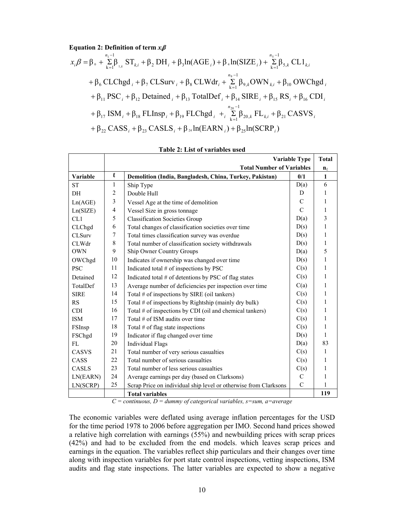**Equation 2: Definition of term** *xiβ*

$$
x_i \beta = \beta_0 + \sum_{k=1}^{n_1-1} \beta_{1,k} ST_{k,i} + \beta_2 DH_i + \beta_3 ln(AGE_i) + \beta_4 ln(SIZE_i) + \sum_{k=1}^{n_5-1} \beta_{5,k} CL1_{k,i} + \beta_6 CLChgd_i + \beta_7 CLSurv_i + \beta_8 CLWdr_i + \sum_{k=1}^{n_9-1} \beta_{9,k} OWN_{k,i} + \beta_{10} OWChgd_i + \beta_{11} PSC_i + \beta_{12} Detailed_i + \beta_{13} TotalDef_i + \beta_{14} SIRE_i + \beta_{15} RS_i + \beta_{16} CDI_i + \beta_{17} ISM_i + \beta_{18} FLInsp_i + \beta_{19} FLChgd_i + \sum_{k=1}^{n_{20}-1} \beta_{20,k} FL_{k,i} + \beta_{21} CASVS_i + \beta_{22} CASS_i + \beta_{23} CASLS_i + \beta_{24} ln(EARN_i) + \beta_{25} ln(SCRP_i)
$$

|                 | <b>Variable Type</b><br><b>Total</b> |                                                                  |               |              |  |
|-----------------|--------------------------------------|------------------------------------------------------------------|---------------|--------------|--|
|                 |                                      | <b>Total Number of Variables</b>                                 |               |              |  |
| <b>Variable</b> | $\mathbf{\ell}$                      | Demolition (India, Bangladesh, China, Turkey, Pakistan)          | 0/1           | $\mathbf{1}$ |  |
| ST              | 1                                    | Ship Type                                                        | D(a)          | 6            |  |
| DH              | $\overline{c}$                       | Double Hull                                                      | D             | 1            |  |
| Ln(AGE)         | $\overline{\mathbf{3}}$              | Vessel Age at the time of demolition                             | C             | 1            |  |
| Ln(SIZE)        | $\overline{\mathbf{4}}$              | Vessel Size in gross tonnage                                     | $\mathcal{C}$ | $\mathbf{1}$ |  |
| CL1             | 5                                    | <b>Classification Societies Group</b>                            | D(a)          | 3            |  |
| CLChgd          | 6                                    | Total changes of classification societies over time              | D(s)          | $\mathbf{1}$ |  |
| <b>CLSurv</b>   | 7                                    | Total times classification survey was overdue                    | D(s)          | $\mathbf{1}$ |  |
| <b>CLWdr</b>    | 8                                    | Total number of classification society withdrawals               | D(s)          | $\mathbf{1}$ |  |
| <b>OWN</b>      | 9                                    | Ship Owner Country Groups                                        | D(a)          | 5            |  |
| OWChgd          | 10                                   | Indicates if ownership was changed over time                     | D(s)          | $\mathbf{1}$ |  |
| <b>PSC</b>      | 11                                   | Indicated total # of inspections by PSC                          | C(s)          | $\mathbf{1}$ |  |
| Detained        | 12                                   | Indicated total $#$ of detentions by PSC of flag states          | C(s)          | $\mathbf{1}$ |  |
| TotalDef        | 13                                   | Average number of deficiencies per inspection over time          | C(a)          | $\mathbf{1}$ |  |
| <b>SIRE</b>     | 14                                   | Total # of inspections by SIRE (oil tankers)                     | C(s)          | $\mathbf{1}$ |  |
| <b>RS</b>       | 15                                   | Total # of inspections by Rightship (mainly dry bulk)            | C(s)          | $\mathbf{1}$ |  |
| <b>CDI</b>      | 16                                   | Total # of inspections by CDI (oil and chemical tankers)         | C(s)          | $\mathbf{1}$ |  |
| <b>ISM</b>      | 17                                   | Total $#$ of ISM audits over time                                | C(s)          | 1            |  |
| FSInsp          | 18                                   | Total $#$ of flag state inspections                              | C(s)          | 1            |  |
| FSChgd          | 19                                   | Indicator if flag changed over time                              | D(s)          | $\mathbf{1}$ |  |
| FL              | 20                                   | <b>Individual Flags</b>                                          | D(a)          | 83           |  |
| CASVS           | 21                                   | Total number of very serious casualties                          | C(s)          | $\mathbf{1}$ |  |
| CASS            | 22                                   | Total number of serious casualties                               | C(s)          | $\mathbf{1}$ |  |
| CASLS           | 23                                   | Total number of less serious casualties                          | C(s)          | $\mathbf{1}$ |  |
| LN(EARN)        | 24                                   | Average earnings per day (based on Clarksons)                    | $\mathcal{C}$ | 1            |  |
| LN(SCRP)        | 25                                   | Scrap Price on individual ship level or otherwise from Clarksons | $\mathcal{C}$ | 1            |  |
|                 |                                      | <b>Total variables</b>                                           |               | 119          |  |

| Table 2: List of variables used |  |
|---------------------------------|--|
|---------------------------------|--|

*C = continuous, D = dummy of categorical variables, s=sum, a=average* 

The economic variables were deflated using average inflation percentages for the USD for the time period 1978 to 2006 before aggregation per IMO. Second hand prices showed a relative high correlation with earnings (55%) and newbuilding prices with scrap prices (42%) and had to be excluded from the end models. which leaves scrap prices and earnings in the equation. The variables reflect ship particulars and their changes over time along with inspection variables for port state control inspections, vetting inspections, ISM audits and flag state inspections. The latter variables are expected to show a negative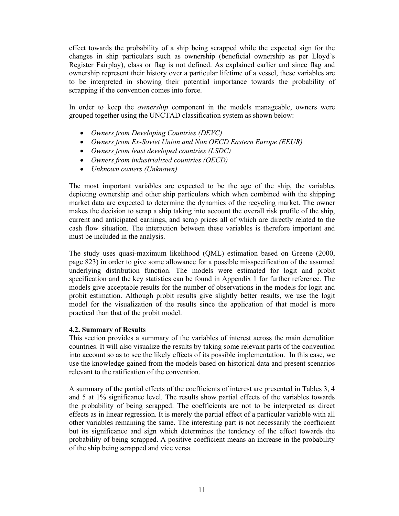effect towards the probability of a ship being scrapped while the expected sign for the changes in ship particulars such as ownership (beneficial ownership as per Lloyd's Register Fairplay), class or flag is not defined. As explained earlier and since flag and ownership represent their history over a particular lifetime of a vessel, these variables are to be interpreted in showing their potential importance towards the probability of scrapping if the convention comes into force.

In order to keep the *ownership* component in the models manageable, owners were grouped together using the UNCTAD classification system as shown below:

- *Owners from Developing Countries (DEVC)*
- *Owners from Ex-Soviet Union and Non OECD Eastern Europe (EEUR)*
- *Owners from least developed countries (LSDC)*
- *Owners from industrialized countries (OECD)*
- *Unknown owners (Unknown)*

The most important variables are expected to be the age of the ship, the variables depicting ownership and other ship particulars which when combined with the shipping market data are expected to determine the dynamics of the recycling market. The owner makes the decision to scrap a ship taking into account the overall risk profile of the ship, current and anticipated earnings, and scrap prices all of which are directly related to the cash flow situation. The interaction between these variables is therefore important and must be included in the analysis.

The study uses quasi-maximum likelihood (QML) estimation based on Greene (2000, page 823) in order to give some allowance for a possible misspecification of the assumed underlying distribution function. The models were estimated for logit and probit specification and the key statistics can be found in Appendix 1 for further reference. The models give acceptable results for the number of observations in the models for logit and probit estimation. Although probit results give slightly better results, we use the logit model for the visualization of the results since the application of that model is more practical than that of the probit model.

### **4.2. Summary of Results**

This section provides a summary of the variables of interest across the main demolition countries. It will also visualize the results by taking some relevant parts of the convention into account so as to see the likely effects of its possible implementation. In this case, we use the knowledge gained from the models based on historical data and present scenarios relevant to the ratification of the convention.

A summary of the partial effects of the coefficients of interest are presented in Tables 3, 4 and 5 at 1% significance level. The results show partial effects of the variables towards the probability of being scrapped. The coefficients are not to be interpreted as direct effects as in linear regression. It is merely the partial effect of a particular variable with all other variables remaining the same. The interesting part is not necessarily the coefficient but its significance and sign which determines the tendency of the effect towards the probability of being scrapped. A positive coefficient means an increase in the probability of the ship being scrapped and vice versa.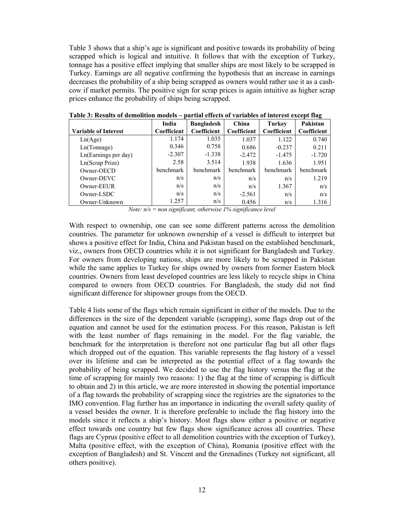Table 3 shows that a ship's age is significant and positive towards its probability of being scrapped which is logical and intuitive. It follows that with the exception of Turkey, tonnage has a positive effect implying that smaller ships are most likely to be scrapped in Turkey. Earnings are all negative confirming the hypothesis that an increase in earnings decreases the probability of a ship being scrapped as owners would rather use it as a cashcow if market permits. The positive sign for scrap prices is again intuitive as higher scrap prices enhance the probability of ships being scrapped.

|                             | India       | <b>Bangladesh</b> | China       | <b>Turkey</b> | Pakistan    |
|-----------------------------|-------------|-------------------|-------------|---------------|-------------|
| <b>Variable of Interest</b> | Coefficient | Coefficient       | Coefficient | Coefficient   | Coefficient |
| Ln(Age)                     | 1.174       | 1.035             | 1.037       | 1.122         | 0.740       |
| Ln(Tonnage)                 | 0.346       | 0.758             | 0.686       | $-0.237$      | 0.211       |
| Ln(Earnings per day)        | $-2.307$    | $-1.338$          | $-2.472$    | $-1.475$      | $-1.720$    |
| Ln(Scrap Prize)             | 2.58        | 3.514             | 1.938       | 1.636         | 1.951       |
| Owner-OECD                  | benchmark   | benchmark         | benchmark   | benchmark     | benchmark   |
| Owner-DEVC                  | n/s         | n/s               | n/s         | n/s           | 1.219       |
| Owner-EEUR                  | n/s         | n/s               | n/s         | 1.367         | n/s         |
| Owner-LSDC                  | n/s         | n/s               | $-2.561$    | n/s           | n/s         |
| Owner-Unknown               | 1.257       | n/s               | 0.456       | n/s           | 1.316       |

**Table 3: Results of demolition models – partial effects of variables of interest except flag** 

*Note: n/s = non significant, otherwise 1% significance level* 

With respect to ownership, one can see some different patterns across the demolition countries. The parameter for unknown ownership of a vessel is difficult to interpret but shows a positive effect for India, China and Pakistan based on the established benchmark, viz., owners from OECD countries while it is not significant for Bangladesh and Turkey. For owners from developing nations, ships are more likely to be scrapped in Pakistan while the same applies to Turkey for ships owned by owners from former Eastern block countries. Owners from least developed countries are less likely to recycle ships in China compared to owners from OECD countries. For Bangladesh, the study did not find significant difference for shipowner groups from the OECD.

Table 4 lists some of the flags which remain significant in either of the models. Due to the differences in the size of the dependent variable (scrapping), some flags drop out of the equation and cannot be used for the estimation process. For this reason, Pakistan is left with the least number of flags remaining in the model. For the flag variable, the benchmark for the interpretation is therefore not one particular flag but all other flags which dropped out of the equation. This variable represents the flag history of a vessel over its lifetime and can be interpreted as the potential effect of a flag towards the probability of being scrapped. We decided to use the flag history versus the flag at the time of scrapping for mainly two reasons: 1) the flag at the time of scrapping is difficult to obtain and 2) in this article, we are more interested in showing the potential importance of a flag towards the probability of scrapping since the registries are the signatories to the IMO convention. Flag further has an importance in indicating the overall safety quality of a vessel besides the owner. It is therefore preferable to include the flag history into the models since it reflects a ship's history. Most flags show either a positive or negative effect towards one country but few flags show significance across all countries. These flags are Cyprus (positive effect to all demolition countries with the exception of Turkey), Malta (positive effect, with the exception of China), Romania (positive effect with the exception of Bangladesh) and St. Vincent and the Grenadines (Turkey not significant, all others positive).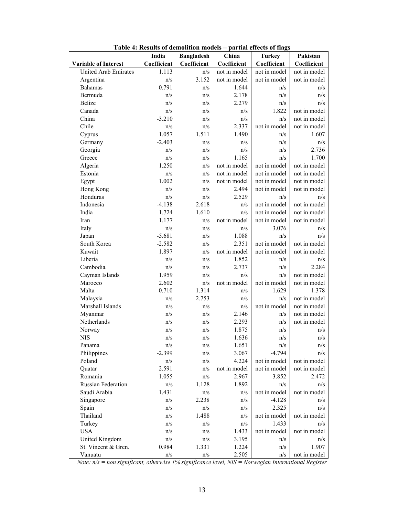|                             | India       | <b>Bangladesh</b> | China        | <b>Turkey</b> | Pakistan     |
|-----------------------------|-------------|-------------------|--------------|---------------|--------------|
| <b>Variable of Interest</b> | Coefficient | Coefficient       | Coefficient  | Coefficient   | Coefficient  |
| <b>United Arab Emirates</b> | 1.113       | n/s               | not in model | not in model  | not in model |
| Argentina                   | n/s         | 3.152             | not in model | not in model  | not in model |
| <b>Bahamas</b>              | 0.791       | n/s               | 1.644        | n/s           | n/s          |
| Bermuda                     | n/s         | n/s               | 2.178        | n/s           | n/s          |
| <b>Belize</b>               | n/s         | n/s               | 2.279        | n/s           | n/s          |
| Canada                      | n/s         | n/s               | n/s          | 1.822         | not in model |
| China                       | $-3.210$    | n/s               | n/s          | n/s           | not in model |
| Chile                       | n/s         | n/s               | 2.337        | not in model  | not in model |
| Cyprus                      | 1.057       | 1.511             | 1.490        | n/s           | 1.607        |
| Germany                     | $-2.403$    | n/s               | n/s          | n/s           | n/s          |
| Georgia                     | n/s         | n/s               | n/s          | n/s           | 2.736        |
| Greece                      | n/s         | n/s               | 1.165        | n/s           | 1.700        |
| Algeria                     | 1.250       | n/s               | not in model | not in model  | not in model |
| Estonia                     | n/s         | n/s               | not in model | not in model  | not in model |
| Egypt                       | 1.002       | n/s               | not in model | not in model  | not in model |
| Hong Kong                   | n/s         | n/s               | 2.494        | not in model  | not in model |
| Honduras                    | n/s         | n/s               | 2.529        | n/s           | n/s          |
| Indonesia                   | $-4.138$    | 2.618             | n/s          | not in model  | not in model |
| India                       | 1.724       | 1.610             | n/s          | not in model  | not in model |
| Iran                        | 1.177       | n/s               | not in model | not in model  | not in model |
| Italy                       | n/s         | n/s               | n/s          | 3.076         | n/s          |
| Japan                       | $-5.681$    | n/s               | 1.088        | n/s           | n/s          |
| South Korea                 | $-2.582$    | n/s               | 2.351        | not in model  | not in model |
| Kuwait                      | 1.897       | n/s               | not in model | not in model  | not in model |
| Liberia                     | n/s         | n/s               | 1.852        | n/s           | n/s          |
| Cambodia                    | n/s         | n/s               | 2.737        | n/s           | 2.284        |
| Cayman Islands              | 1.959       | n/s               | n/s          | n/s           | not in model |
| Marocco                     | 2.602       | n/s               | not in model | not in model  | not in model |
| Malta                       | 0.710       | 1.314             | n/s          | 1.629         | 1.378        |
| Malaysia                    | n/s         | 2.753             | n/s          | n/s           | not in model |
| Marshall Islands            | n/s         | n/s               | n/s          | not in model  | not in model |
| Myanmar                     | n/s         | n/s               | 2.146        | n/s           | not in model |
| Netherlands                 | n/s         | n/s               | 2.293        | n/s           | not in model |
| Norway                      | n/s         | n/s               | 1.875        | n/s           | n/s          |
| <b>NIS</b>                  | n/s         | n/s               | 1.636        | n/s           | n/s          |
| Panama                      | n/s         | $\rm n/s$         | 1.651        | n/s           | n/s          |
| Philippines                 | $-2.399$    | n/s               | 3.067        | $-4.794$      | n/s          |
| Poland                      | n/s         | n/s               | 4.224        | not in model  | not in model |
| Quatar                      | 2.591       | n/s               | not in model | not in model  | not in model |
| Romania                     | 1.055       | n/s               | 2.967        | 3.852         | 2.472        |
| Russian Federation          | n/s         | 1.128             | 1.892        | n/s           | n/s          |
| Saudi Arabia                | 1.431       | n/s               | n/s          | not in model  | not in model |
| Singapore                   | n/s         | 2.238             | n/s          | $-4.128$      | n/s          |
| Spain                       | n/s         | n/s               | n/s          | 2.325         | n/s          |
| Thailand                    | n/s         | 1.488             | n/s          | not in model  | not in model |
| Turkey                      | n/s         | n/s               | n/s          | 1.433         | n/s          |
| <b>USA</b>                  | $\rm n/s$   | n/s               | 1.433        | not in model  | not in model |
| United Kingdom              | n/s         | n/s               | 3.195        | n/s           | n/s          |
| St. Vincent & Gren.         | 0.984       | 1.331             | 1.224        | n/s           | 1.907        |
| Vanuatu                     | n/s         | n/s               | 2.505        | n/s           | not in model |

**Table 4: Results of demolition models – partial effects of flags** 

*Note: n/s = non significant, otherwise 1% significance level, NIS = Norwegian International Register*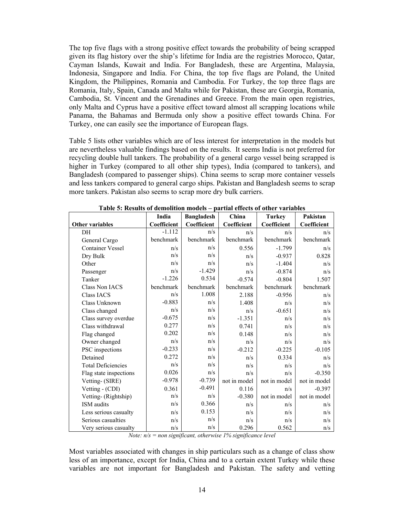The top five flags with a strong positive effect towards the probability of being scrapped given its flag history over the ship's lifetime for India are the registries Morocco, Qatar, Cayman Islands, Kuwait and India. For Bangladesh, these are Argentina, Malaysia, Indonesia, Singapore and India. For China, the top five flags are Poland, the United Kingdom, the Philippines, Romania and Cambodia. For Turkey, the top three flags are Romania, Italy, Spain, Canada and Malta while for Pakistan, these are Georgia, Romania, Cambodia, St. Vincent and the Grenadines and Greece. From the main open registries, only Malta and Cyprus have a positive effect toward almost all scrapping locations while Panama, the Bahamas and Bermuda only show a positive effect towards China. For Turkey, one can easily see the importance of European flags.

Table 5 lists other variables which are of less interest for interpretation in the models but are nevertheless valuable findings based on the results. It seems India is not preferred for recycling double hull tankers. The probability of a general cargo vessel being scrapped is higher in Turkey (compared to all other ship types), India (compared to tankers), and Bangladesh (compared to passenger ships). China seems to scrap more container vessels and less tankers compared to general cargo ships. Pakistan and Bangladesh seems to scrap more tankers. Pakistan also seems to scrap more dry bulk carriers.

|                           | <b>Bangladesh</b><br>India |             | China        | <b>Turkey</b> | Pakistan     |  |
|---------------------------|----------------------------|-------------|--------------|---------------|--------------|--|
| <b>Other variables</b>    | Coefficient                | Coefficient | Coefficient  | Coefficient   | Coefficient  |  |
| DH                        | $-1.112$                   | n/s         | n/s          | n/s           | n/s          |  |
| General Cargo             | benchmark                  | benchmark   | benchmark    | benchmark     | benchmark    |  |
| <b>Container Vessel</b>   | n/s                        | n/s         | 0.556        | $-1.799$      | n/s          |  |
| Dry Bulk                  | n/s                        | n/s         | n/s          | $-0.937$      | 0.828        |  |
| Other                     | n/s                        | n/s         | n/s          | $-1.404$      | n/s          |  |
| Passenger                 | n/s                        | $-1.429$    | n/s          | $-0.874$      | n/s          |  |
| Tanker                    | $-1.226$                   | 0.534       | $-0.574$     | $-0.804$      | 1.507        |  |
| Class Non IACS            | benchmark                  | benchmark   | benchmark    | benchmark     | benchmark    |  |
| <b>Class IACS</b>         | n/s                        | 1.008       | 2.188        | $-0.956$      | n/s          |  |
| Class Unknown             | $-0.883$                   | n/s         | 1.408        | n/s           | n/s          |  |
| Class changed             | n/s                        | n/s         | n/s          | $-0.651$      | n/s          |  |
| Class survey overdue      | $-0.675$                   | n/s         | $-1.351$     | n/s           | n/s          |  |
| Class withdrawal          | 0.277                      | n/s         | 0.741        | n/s           | n/s          |  |
| Flag changed              | 0.202                      | n/s         | 0.148        | n/s           | n/s          |  |
| Owner changed             | n/s                        | n/s         | n/s          | n/s           | n/s          |  |
| PSC inspections           | $-0.233$                   | n/s         | $-0.212$     | $-0.225$      | $-0.105$     |  |
| Detained                  | 0.272                      | n/s         | n/s          | 0.334         | n/s          |  |
| <b>Total Deficiencies</b> | n/s                        | n/s         | n/s          | n/s           | n/s          |  |
| Flag state inspections    | 0.026                      | n/s         | n/s          | n/s           | $-0.350$     |  |
| Vetting- (SIRE)           | $-0.978$                   | $-0.739$    | not in model | not in model  | not in model |  |
| Vetting - (CDI)           | 0.361                      | $-0.491$    | 0.116        | n/s           | $-0.397$     |  |
| Vetting- (Rightship)      | n/s                        | n/s         | $-0.380$     | not in model  | not in model |  |
| ISM audits                | n/s                        | 0.366       | n/s          | n/s           | n/s          |  |
| Less serious casualty     | n/s                        | 0.153       | n/s          | n/s           | n/s          |  |
| Serious casualties        | n/s                        | n/s         | n/s          | n/s           | n/s          |  |
| Very serious casualty     | n/s                        | n/s         | 0.296        | 0.562         | n/s          |  |

| Table 5: Results of demolition models – partial effects of other variables |  |
|----------------------------------------------------------------------------|--|
|----------------------------------------------------------------------------|--|

*Note: n/s = non significant, otherwise 1% significance level* 

Most variables associated with changes in ship particulars such as a change of class show less of an importance, except for India, China and to a certain extent Turkey while these variables are not important for Bangladesh and Pakistan. The safety and vetting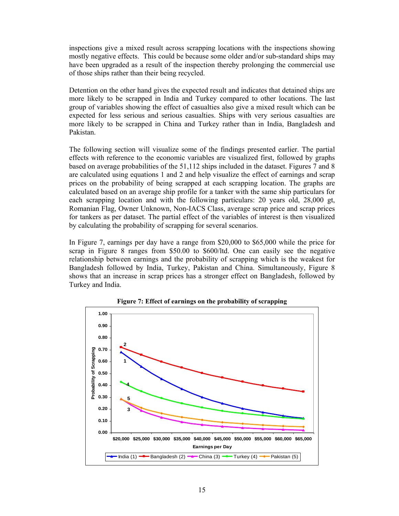inspections give a mixed result across scrapping locations with the inspections showing mostly negative effects. This could be because some older and/or sub-standard ships may have been upgraded as a result of the inspection thereby prolonging the commercial use of those ships rather than their being recycled.

Detention on the other hand gives the expected result and indicates that detained ships are more likely to be scrapped in India and Turkey compared to other locations. The last group of variables showing the effect of casualties also give a mixed result which can be expected for less serious and serious casualties. Ships with very serious casualties are more likely to be scrapped in China and Turkey rather than in India, Bangladesh and Pakistan.

The following section will visualize some of the findings presented earlier. The partial effects with reference to the economic variables are visualized first, followed by graphs based on average probabilities of the 51,112 ships included in the dataset. Figures 7 and 8 are calculated using equations 1 and 2 and help visualize the effect of earnings and scrap prices on the probability of being scrapped at each scrapping location. The graphs are calculated based on an average ship profile for a tanker with the same ship particulars for each scrapping location and with the following particulars: 20 years old, 28,000 gt, Romanian Flag, Owner Unknown, Non-IACS Class, average scrap price and scrap prices for tankers as per dataset. The partial effect of the variables of interest is then visualized by calculating the probability of scrapping for several scenarios.

In Figure 7, earnings per day have a range from \$20,000 to \$65,000 while the price for scrap in Figure 8 ranges from \$50.00 to \$600/ltd. One can easily see the negative relationship between earnings and the probability of scrapping which is the weakest for Bangladesh followed by India, Turkey, Pakistan and China. Simultaneously, Figure 8 shows that an increase in scrap prices has a stronger effect on Bangladesh, followed by Turkey and India.



**Figure 7: Effect of earnings on the probability of scrapping**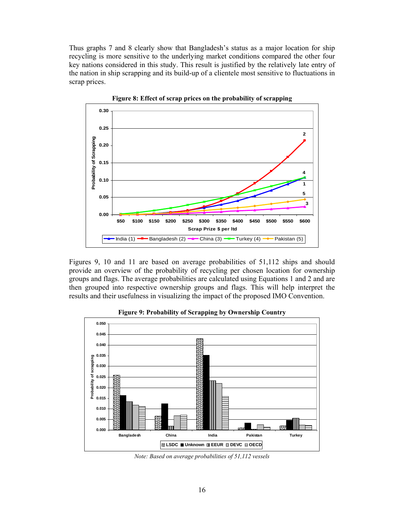Thus graphs 7 and 8 clearly show that Bangladesh's status as a major location for ship recycling is more sensitive to the underlying market conditions compared the other four key nations considered in this study. This result is justified by the relatively late entry of the nation in ship scrapping and its build-up of a clientele most sensitive to fluctuations in scrap prices.



**Figure 8: Effect of scrap prices on the probability of scrapping** 

Figures 9, 10 and 11 are based on average probabilities of 51,112 ships and should provide an overview of the probability of recycling per chosen location for ownership groups and flags. The average probabilities are calculated using Equations 1 and 2 and are then grouped into respective ownership groups and flags. This will help interpret the results and their usefulness in visualizing the impact of the proposed IMO Convention.



**Figure 9: Probability of Scrapping by Ownership Country** 

*Note: Based on average probabilities of 51,112 vessels*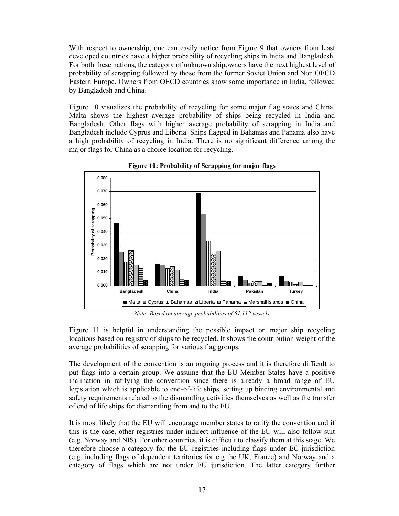With respect to ownership, one can easily notice from Figure 9 that owners from least developed countries have a higher probability of recycling ships in India and Bangladesh. For both these nations, the category of unknown shipowners have the next highest level of probability of scrapping followed by those from the former Soviet Union and Non OECD Eastern Europe. Owners from OECD countries show some importance in India, followed by Bangladesh and China.

Figure 10 visualizes the probability of recycling for some major flag states and China. Malta shows the highest average probability of ships being recycled in India and Bangladesh. Other flags with higher average probability of scrapping in India and Bangladesh include Cyprus and Liberia. Ships flagged in Bahamas and Panama also have a high probability of recycling in India. There is no significant difference among the major flags for China as a choice location for recycling.



**Figure 10: Probability of Scrapping for major flags** 

*Note: Based on average probabilities of 51,112 vessels* 

Figure 11 is helpful in understanding the possible impact on major ship recycling locations based on registry of ships to be recycled. It shows the contribution weight of the average probabilities of scrapping for various flag groups.

The development of the convention is an ongoing process and it is therefore difficult to put flags into a certain group. We assume that the EU Member States have a positive inclination in ratifying the convention since there is already a broad range of EU legislation which is applicable to end-of-life ships, setting up binding environmental and safety requirements related to the dismantling activities themselves as well as the transfer of end of life ships for dismantling from and to the EU.

It is most likely that the EU will encourage member states to ratify the convention and if this is the case, other registries under indirect influence of the EU will also follow suit (e.g. Norway and NIS). For other countries, it is difficult to classify them at this stage. We therefore choose a category for the EU registries including flags under EC jurisdiction (e.g. including flags of dependent territories for e.g the UK, France) and Norway and a category of flags which are not under EU jurisdiction. The latter category further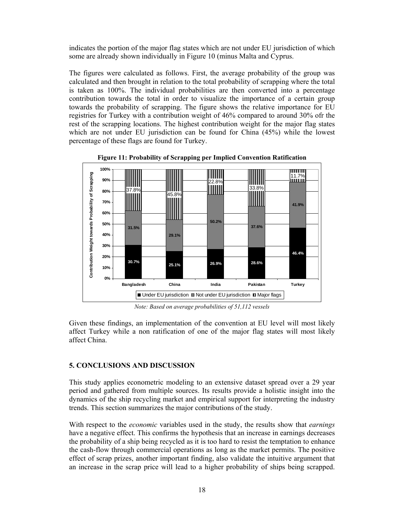indicates the portion of the major flag states which are not under EU jurisdiction of which some are already shown individually in Figure 10 (minus Malta and Cyprus.

The figures were calculated as follows. First, the average probability of the group was calculated and then brought in relation to the total probability of scrapping where the total is taken as 100%. The individual probabilities are then converted into a percentage contribution towards the total in order to visualize the importance of a certain group towards the probability of scrapping. The figure shows the relative importance for EU registries for Turkey with a contribution weight of 46% compared to around 30% ofr the rest of the scrapping locations. The highest contribution weight for the major flag states which are not under EU jurisdiction can be found for China (45%) while the lowest percentage of these flags are found for Turkey.



**Figure 11: Probability of Scrapping per Implied Convention Ratification** 

*Note: Based on average probabilities of 51,112 vessels* 

Given these findings, an implementation of the convention at EU level will most likely affect Turkey while a non ratification of one of the major flag states will most likely affect China.

# **5. CONCLUSIONS AND DISCUSSION**

This study applies econometric modeling to an extensive dataset spread over a 29 year period and gathered from multiple sources. Its results provide a holistic insight into the dynamics of the ship recycling market and empirical support for interpreting the industry trends. This section summarizes the major contributions of the study.

With respect to the *economic* variables used in the study, the results show that *earnings*  have a negative effect. This confirms the hypothesis that an increase in earnings decreases the probability of a ship being recycled as it is too hard to resist the temptation to enhance the cash-flow through commercial operations as long as the market permits. The positive effect of scrap prizes, another important finding, also validate the intuitive argument that an increase in the scrap price will lead to a higher probability of ships being scrapped.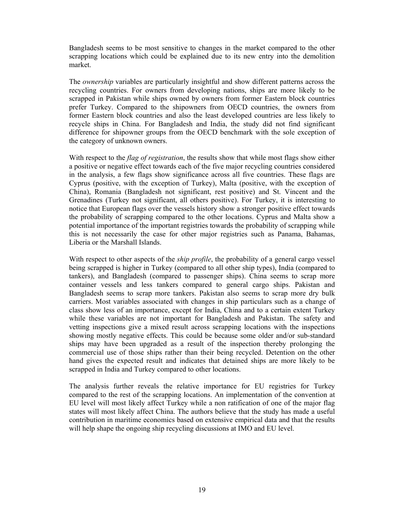Bangladesh seems to be most sensitive to changes in the market compared to the other scrapping locations which could be explained due to its new entry into the demolition market.

The *ownership* variables are particularly insightful and show different patterns across the recycling countries. For owners from developing nations, ships are more likely to be scrapped in Pakistan while ships owned by owners from former Eastern block countries prefer Turkey. Compared to the shipowners from OECD countries, the owners from former Eastern block countries and also the least developed countries are less likely to recycle ships in China. For Bangladesh and India, the study did not find significant difference for shipowner groups from the OECD benchmark with the sole exception of the category of unknown owners.

With respect to the *flag of registration*, the results show that while most flags show either a positive or negative effect towards each of the five major recycling countries considered in the analysis, a few flags show significance across all five countries. These flags are Cyprus (positive, with the exception of Turkey), Malta (positive, with the exception of China), Romania (Bangladesh not significant, rest positive) and St. Vincent and the Grenadines (Turkey not significant, all others positive). For Turkey, it is interesting to notice that European flags over the vessels history show a stronger positive effect towards the probability of scrapping compared to the other locations. Cyprus and Malta show a potential importance of the important registries towards the probability of scrapping while this is not necessarily the case for other major registries such as Panama, Bahamas, Liberia or the Marshall Islands.

With respect to other aspects of the *ship profile*, the probability of a general cargo vessel being scrapped is higher in Turkey (compared to all other ship types), India (compared to tankers), and Bangladesh (compared to passenger ships). China seems to scrap more container vessels and less tankers compared to general cargo ships. Pakistan and Bangladesh seems to scrap more tankers. Pakistan also seems to scrap more dry bulk carriers. Most variables associated with changes in ship particulars such as a change of class show less of an importance, except for India, China and to a certain extent Turkey while these variables are not important for Bangladesh and Pakistan. The safety and vetting inspections give a mixed result across scrapping locations with the inspections showing mostly negative effects. This could be because some older and/or sub-standard ships may have been upgraded as a result of the inspection thereby prolonging the commercial use of those ships rather than their being recycled. Detention on the other hand gives the expected result and indicates that detained ships are more likely to be scrapped in India and Turkey compared to other locations.

The analysis further reveals the relative importance for EU registries for Turkey compared to the rest of the scrapping locations. An implementation of the convention at EU level will most likely affect Turkey while a non ratification of one of the major flag states will most likely affect China. The authors believe that the study has made a useful contribution in maritime economics based on extensive empirical data and that the results will help shape the ongoing ship recycling discussions at IMO and EU level.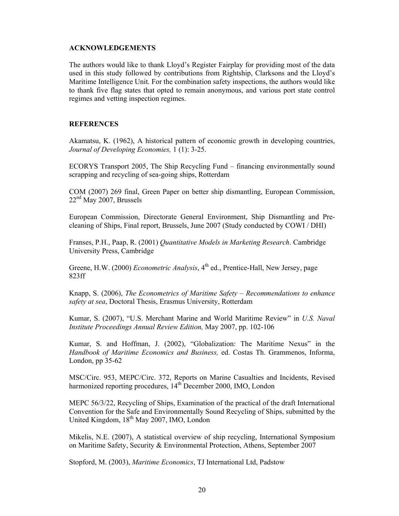#### **ACKNOWLEDGEMENTS**

The authors would like to thank Lloyd's Register Fairplay for providing most of the data used in this study followed by contributions from Rightship, Clarksons and the Lloyd's Maritime Intelligence Unit. For the combination safety inspections, the authors would like to thank five flag states that opted to remain anonymous, and various port state control regimes and vetting inspection regimes.

#### **REFERENCES**

Akamatsu, K. (1962), A historical pattern of economic growth in developing countries, *Journal of Developing Economies,* 1 (1): 3-25.

ECORYS Transport 2005, The Ship Recycling Fund – financing environmentally sound scrapping and recycling of sea-going ships, Rotterdam

COM (2007) 269 final, Green Paper on better ship dismantling, European Commission,  $22<sup>nd</sup>$  May 2007, Brussels

European Commission, Directorate General Environment, Ship Dismantling and Precleaning of Ships, Final report, Brussels, June 2007 (Study conducted by COWI / DHI)

Franses, P.H., Paap, R. (2001) *Quantitative Models in Marketing Research*. Cambridge University Press, Cambridge

Greene, H.W. (2000) *Econometric Analysis*, 4<sup>th</sup> ed., Prentice-Hall, New Jersey, page 823ff

Knapp, S. (2006), *The Econometrics of Maritime Safety – Recommendations to enhance safety at sea*, Doctoral Thesis, Erasmus University, Rotterdam

Kumar, S. (2007), "U.S. Merchant Marine and World Maritime Review" in *U.S. Naval Institute Proceedings Annual Review Edition,* May 2007, pp. 102-106

Kumar, S. and Hoffman, J. (2002), "Globalization: The Maritime Nexus" in the *Handbook of Maritime Economics and Business,* ed. Costas Th. Grammenos, Informa, London, pp 35-62

MSC/Circ. 953, MEPC/Circ. 372, Reports on Marine Casualties and Incidents, Revised harmonized reporting procedures, 14<sup>th</sup> December 2000, IMO, London

MEPC 56/3/22, Recycling of Ships, Examination of the practical of the draft International Convention for the Safe and Environmentally Sound Recycling of Ships, submitted by the United Kingdom, 18<sup>th</sup> May 2007, IMO, London

Mikelis, N.E. (2007), A statistical overview of ship recycling, International Symposium on Maritime Safety, Security & Environmental Protection, Athens, September 2007

Stopford, M. (2003), *Maritime Economics*, TJ International Ltd, Padstow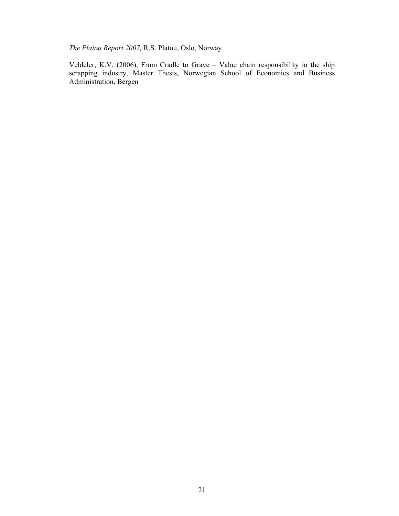*The Platou Report 2007,* R.S. Platou, Oslo, Norway

Veldeler, K.V. (2006), From Cradle to Grave – Value chain responsibility in the ship scrapping industry, Master Thesis, Norwegian School of Economics and Business Administration, Bergen